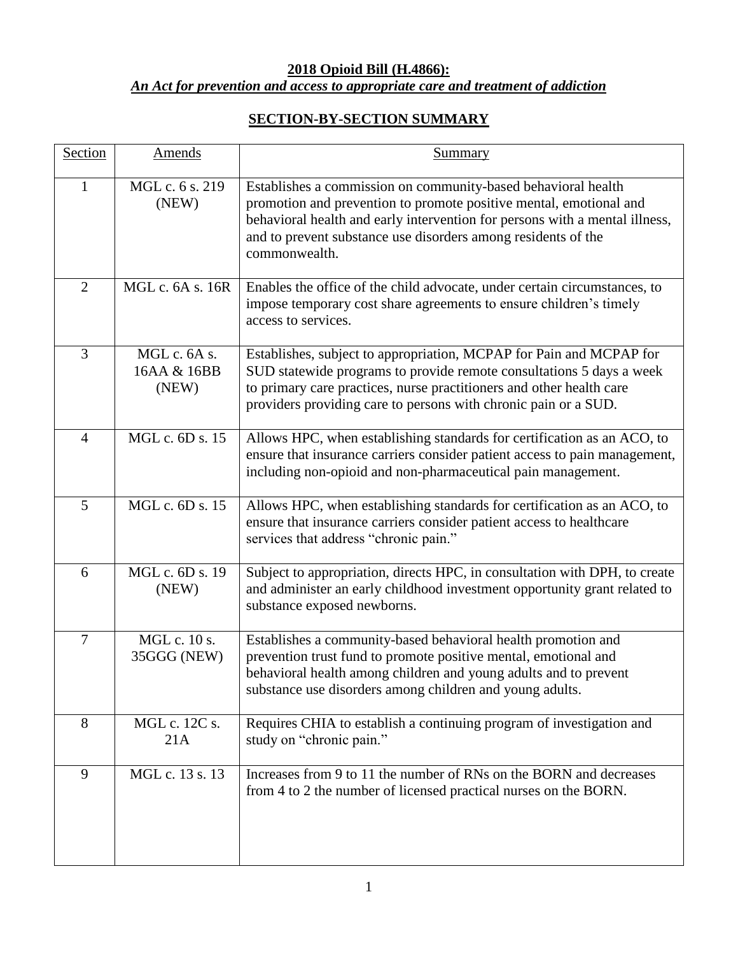## **2018 Opioid Bill (H.4866):** *An Act for prevention and access to appropriate care and treatment of addiction*

## **SECTION-BY-SECTION SUMMARY**

| Section        | Amends                               | <b>Summary</b>                                                                                                                                                                                                                                                                                       |
|----------------|--------------------------------------|------------------------------------------------------------------------------------------------------------------------------------------------------------------------------------------------------------------------------------------------------------------------------------------------------|
| $\mathbf{1}$   | MGL c. 6 s. 219<br>(NEW)             | Establishes a commission on community-based behavioral health<br>promotion and prevention to promote positive mental, emotional and<br>behavioral health and early intervention for persons with a mental illness,<br>and to prevent substance use disorders among residents of the<br>commonwealth. |
| $\overline{2}$ | MGL c. 6A s. 16R                     | Enables the office of the child advocate, under certain circumstances, to<br>impose temporary cost share agreements to ensure children's timely<br>access to services.                                                                                                                               |
| 3              | MGL c. 6A s.<br>16AA & 16BB<br>(NEW) | Establishes, subject to appropriation, MCPAP for Pain and MCPAP for<br>SUD statewide programs to provide remote consultations 5 days a week<br>to primary care practices, nurse practitioners and other health care<br>providers providing care to persons with chronic pain or a SUD.               |
| $\overline{4}$ | MGL c. 6D s. 15                      | Allows HPC, when establishing standards for certification as an ACO, to<br>ensure that insurance carriers consider patient access to pain management,<br>including non-opioid and non-pharmaceutical pain management.                                                                                |
| 5              | MGL c. 6D s. 15                      | Allows HPC, when establishing standards for certification as an ACO, to<br>ensure that insurance carriers consider patient access to healthcare<br>services that address "chronic pain."                                                                                                             |
| 6              | MGL c. 6D s. 19<br>(NEW)             | Subject to appropriation, directs HPC, in consultation with DPH, to create<br>and administer an early childhood investment opportunity grant related to<br>substance exposed newborns.                                                                                                               |
| $\overline{7}$ | MGL c. 10 s.<br>35GGG (NEW)          | Establishes a community-based behavioral health promotion and<br>prevention trust fund to promote positive mental, emotional and<br>behavioral health among children and young adults and to prevent<br>substance use disorders among children and young adults.                                     |
| 8              | MGL c. 12C s.<br>21A                 | Requires CHIA to establish a continuing program of investigation and<br>study on "chronic pain."                                                                                                                                                                                                     |
| 9              | MGL c. 13 s. 13                      | Increases from 9 to 11 the number of RNs on the BORN and decreases<br>from 4 to 2 the number of licensed practical nurses on the BORN.                                                                                                                                                               |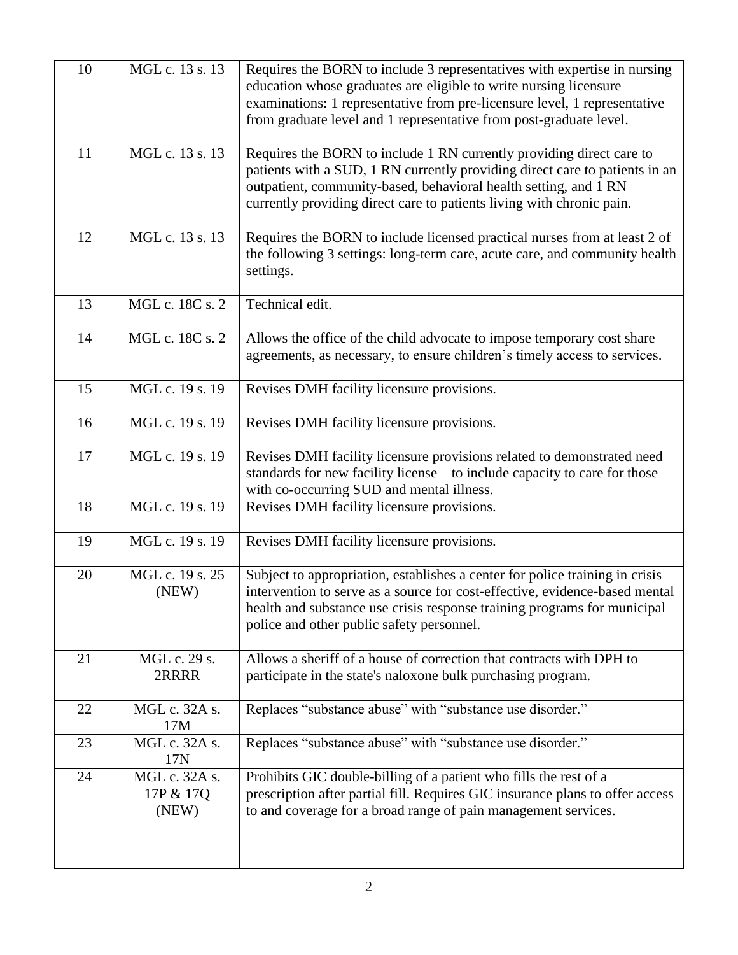| 10 | MGL c. 13 s. 13                     | Requires the BORN to include 3 representatives with expertise in nursing<br>education whose graduates are eligible to write nursing licensure<br>examinations: 1 representative from pre-licensure level, 1 representative<br>from graduate level and 1 representative from post-graduate level. |
|----|-------------------------------------|--------------------------------------------------------------------------------------------------------------------------------------------------------------------------------------------------------------------------------------------------------------------------------------------------|
| 11 | MGL c. 13 s. 13                     | Requires the BORN to include 1 RN currently providing direct care to<br>patients with a SUD, 1 RN currently providing direct care to patients in an<br>outpatient, community-based, behavioral health setting, and 1 RN<br>currently providing direct care to patients living with chronic pain. |
| 12 | MGL c. 13 s. 13                     | Requires the BORN to include licensed practical nurses from at least 2 of<br>the following 3 settings: long-term care, acute care, and community health<br>settings.                                                                                                                             |
| 13 | MGL c. 18C s. 2                     | Technical edit.                                                                                                                                                                                                                                                                                  |
| 14 | MGL c. 18C s. 2                     | Allows the office of the child advocate to impose temporary cost share<br>agreements, as necessary, to ensure children's timely access to services.                                                                                                                                              |
| 15 | MGL c. 19 s. 19                     | Revises DMH facility licensure provisions.                                                                                                                                                                                                                                                       |
| 16 | MGL c. 19 s. 19                     | Revises DMH facility licensure provisions.                                                                                                                                                                                                                                                       |
| 17 | MGL c. 19 s. 19                     | Revises DMH facility licensure provisions related to demonstrated need<br>standards for new facility license – to include capacity to care for those<br>with co-occurring SUD and mental illness.                                                                                                |
| 18 | MGL c. 19 s. 19                     | Revises DMH facility licensure provisions.                                                                                                                                                                                                                                                       |
| 19 | MGL c. 19 s. 19                     | Revises DMH facility licensure provisions.                                                                                                                                                                                                                                                       |
| 20 | MGL c. 19 s. 25<br>(NEW)            | Subject to appropriation, establishes a center for police training in crisis<br>intervention to serve as a source for cost-effective, evidence-based mental<br>health and substance use crisis response training programs for municipal<br>police and other public safety personnel.             |
| 21 | MGL c. 29 s.<br>2RRRR               | Allows a sheriff of a house of correction that contracts with DPH to<br>participate in the state's naloxone bulk purchasing program.                                                                                                                                                             |
| 22 | MGL c. 32A s.<br>17M                | Replaces "substance abuse" with "substance use disorder."                                                                                                                                                                                                                                        |
| 23 | MGL c. 32A s.<br>17N                | Replaces "substance abuse" with "substance use disorder."                                                                                                                                                                                                                                        |
| 24 | MGL c. 32A s.<br>17P & 17Q<br>(NEW) | Prohibits GIC double-billing of a patient who fills the rest of a<br>prescription after partial fill. Requires GIC insurance plans to offer access<br>to and coverage for a broad range of pain management services.                                                                             |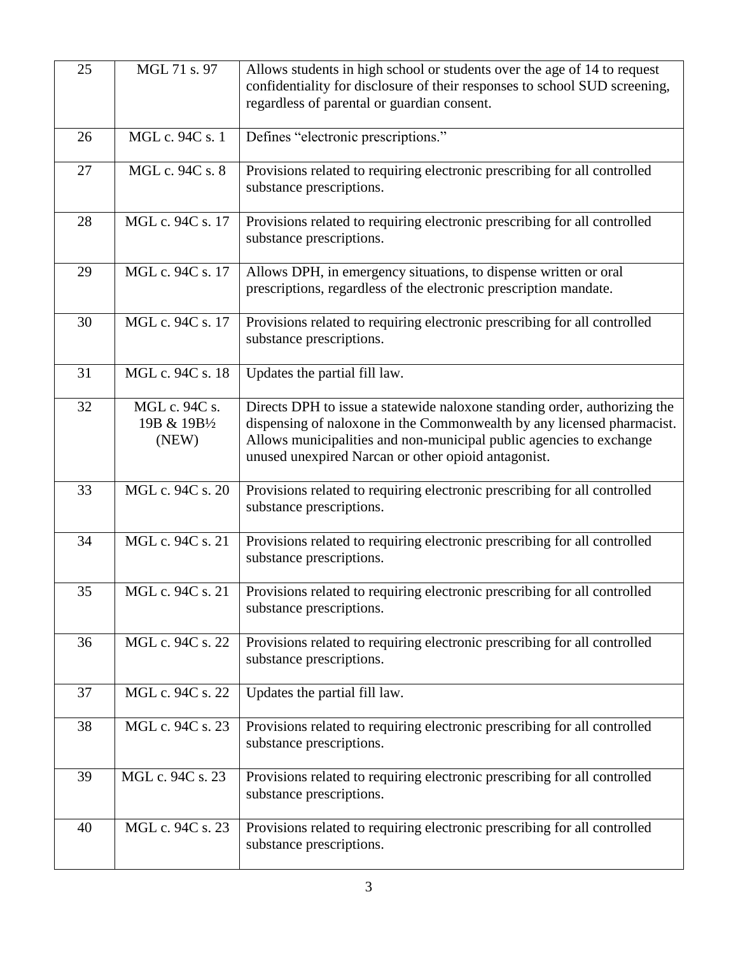| 25 | MGL 71 s. 97                           | Allows students in high school or students over the age of 14 to request<br>confidentiality for disclosure of their responses to school SUD screening,<br>regardless of parental or guardian consent.                                                                             |
|----|----------------------------------------|-----------------------------------------------------------------------------------------------------------------------------------------------------------------------------------------------------------------------------------------------------------------------------------|
| 26 | MGL c. 94C s. 1                        | Defines "electronic prescriptions."                                                                                                                                                                                                                                               |
| 27 | MGL c. 94C s. 8                        | Provisions related to requiring electronic prescribing for all controlled<br>substance prescriptions.                                                                                                                                                                             |
| 28 | MGL c. 94C s. 17                       | Provisions related to requiring electronic prescribing for all controlled<br>substance prescriptions.                                                                                                                                                                             |
| 29 | MGL c. 94C s. 17                       | Allows DPH, in emergency situations, to dispense written or oral<br>prescriptions, regardless of the electronic prescription mandate.                                                                                                                                             |
| 30 | MGL c. 94C s. 17                       | Provisions related to requiring electronic prescribing for all controlled<br>substance prescriptions.                                                                                                                                                                             |
| 31 | MGL c. 94C s. 18                       | Updates the partial fill law.                                                                                                                                                                                                                                                     |
| 32 | MGL c. 94C s.<br>19B & 19B1/2<br>(NEW) | Directs DPH to issue a statewide naloxone standing order, authorizing the<br>dispensing of naloxone in the Commonwealth by any licensed pharmacist.<br>Allows municipalities and non-municipal public agencies to exchange<br>unused unexpired Narcan or other opioid antagonist. |
| 33 | MGL c. 94C s. 20                       | Provisions related to requiring electronic prescribing for all controlled<br>substance prescriptions.                                                                                                                                                                             |
| 34 | MGL c. 94C s. 21                       | Provisions related to requiring electronic prescribing for all controlled<br>substance prescriptions.                                                                                                                                                                             |
| 35 | MGL c. 94C s. 21                       | Provisions related to requiring electronic prescribing for all controlled<br>substance prescriptions.                                                                                                                                                                             |
| 36 | MGL c. 94C s. 22                       | Provisions related to requiring electronic prescribing for all controlled<br>substance prescriptions.                                                                                                                                                                             |
| 37 | MGL c. 94C s. 22                       | Updates the partial fill law.                                                                                                                                                                                                                                                     |
| 38 | MGL c. 94C s. 23                       | Provisions related to requiring electronic prescribing for all controlled<br>substance prescriptions.                                                                                                                                                                             |
| 39 | MGL c. 94C s. 23                       | Provisions related to requiring electronic prescribing for all controlled<br>substance prescriptions.                                                                                                                                                                             |
| 40 | MGL c. 94C s. 23                       | Provisions related to requiring electronic prescribing for all controlled<br>substance prescriptions.                                                                                                                                                                             |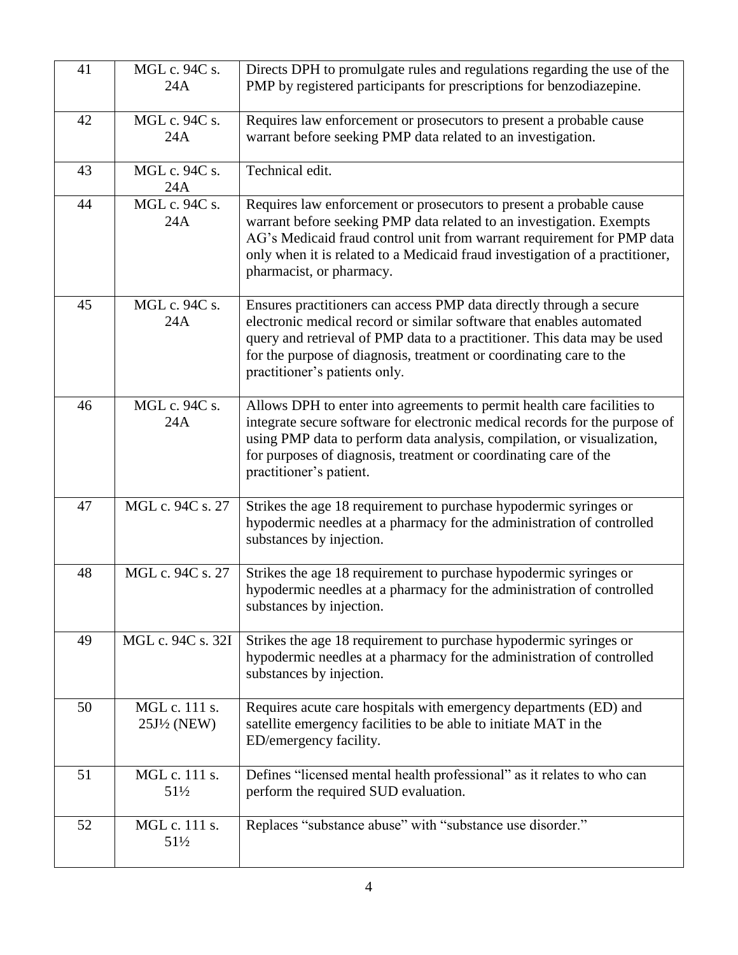| 41 | MGL c. 94C s.                           | Directs DPH to promulgate rules and regulations regarding the use of the                                                                                                                                                                                                                                                          |
|----|-----------------------------------------|-----------------------------------------------------------------------------------------------------------------------------------------------------------------------------------------------------------------------------------------------------------------------------------------------------------------------------------|
|    | 24A                                     | PMP by registered participants for prescriptions for benzodiazepine.                                                                                                                                                                                                                                                              |
| 42 | MGL c. 94C s.                           | Requires law enforcement or prosecutors to present a probable cause                                                                                                                                                                                                                                                               |
|    | 24A                                     | warrant before seeking PMP data related to an investigation.                                                                                                                                                                                                                                                                      |
| 43 | MGL c. 94C s.<br>24A                    | Technical edit.                                                                                                                                                                                                                                                                                                                   |
| 44 | MGL c. 94C s.<br>24A                    | Requires law enforcement or prosecutors to present a probable cause<br>warrant before seeking PMP data related to an investigation. Exempts<br>AG's Medicaid fraud control unit from warrant requirement for PMP data<br>only when it is related to a Medicaid fraud investigation of a practitioner,<br>pharmacist, or pharmacy. |
| 45 | MGL c. 94C s.<br>24A                    | Ensures practitioners can access PMP data directly through a secure<br>electronic medical record or similar software that enables automated<br>query and retrieval of PMP data to a practitioner. This data may be used<br>for the purpose of diagnosis, treatment or coordinating care to the<br>practitioner's patients only.   |
| 46 | MGL c. 94C s.<br>24A                    | Allows DPH to enter into agreements to permit health care facilities to<br>integrate secure software for electronic medical records for the purpose of<br>using PMP data to perform data analysis, compilation, or visualization,<br>for purposes of diagnosis, treatment or coordinating care of the<br>practitioner's patient.  |
| 47 | MGL c. 94C s. 27                        | Strikes the age 18 requirement to purchase hypodermic syringes or<br>hypodermic needles at a pharmacy for the administration of controlled<br>substances by injection.                                                                                                                                                            |
| 48 | MGL c. 94C s. 27                        | Strikes the age 18 requirement to purchase hypodermic syringes or<br>hypodermic needles at a pharmacy for the administration of controlled<br>substances by injection.                                                                                                                                                            |
| 49 | MGL c. 94C s. 32I                       | Strikes the age 18 requirement to purchase hypodermic syringes or<br>hypodermic needles at a pharmacy for the administration of controlled<br>substances by injection.                                                                                                                                                            |
| 50 | MGL c. 111 s.<br>$25J\frac{1}{2}$ (NEW) | Requires acute care hospitals with emergency departments (ED) and<br>satellite emergency facilities to be able to initiate MAT in the<br>ED/emergency facility.                                                                                                                                                                   |
| 51 | MGL c. 111 s.<br>51½                    | Defines "licensed mental health professional" as it relates to who can<br>perform the required SUD evaluation.                                                                                                                                                                                                                    |
| 52 | MGL c. 111 s.<br>$51\frac{1}{2}$        | Replaces "substance abuse" with "substance use disorder."                                                                                                                                                                                                                                                                         |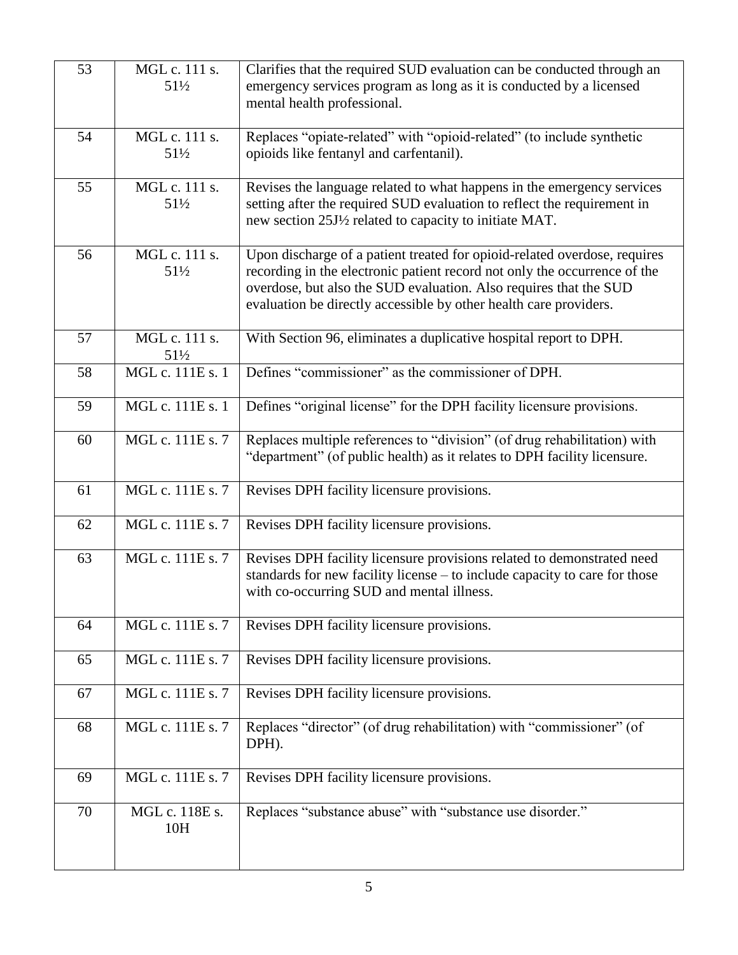| 53 | MGL c. 111 s.    | Clarifies that the required SUD evaluation can be conducted through an     |
|----|------------------|----------------------------------------------------------------------------|
|    | $51\frac{1}{2}$  | emergency services program as long as it is conducted by a licensed        |
|    |                  | mental health professional.                                                |
|    |                  |                                                                            |
| 54 | MGL c. 111 s.    | Replaces "opiate-related" with "opioid-related" (to include synthetic      |
|    | $51\frac{1}{2}$  | opioids like fentanyl and carfentanil).                                    |
|    |                  |                                                                            |
| 55 | MGL c. 111 s.    | Revises the language related to what happens in the emergency services     |
|    | $51\frac{1}{2}$  | setting after the required SUD evaluation to reflect the requirement in    |
|    |                  | new section 25J1/2 related to capacity to initiate MAT.                    |
|    |                  |                                                                            |
| 56 | MGL c. 111 s.    | Upon discharge of a patient treated for opioid-related overdose, requires  |
|    | $51\frac{1}{2}$  | recording in the electronic patient record not only the occurrence of the  |
|    |                  | overdose, but also the SUD evaluation. Also requires that the SUD          |
|    |                  | evaluation be directly accessible by other health care providers.          |
|    |                  |                                                                            |
| 57 | MGL c. 111 s.    | With Section 96, eliminates a duplicative hospital report to DPH.          |
|    | $51\frac{1}{2}$  |                                                                            |
| 58 | MGL c. 111E s. 1 | Defines "commissioner" as the commissioner of DPH.                         |
| 59 | MGL c. 111E s. 1 | Defines "original license" for the DPH facility licensure provisions.      |
|    |                  |                                                                            |
| 60 | MGL c. 111E s. 7 | Replaces multiple references to "division" (of drug rehabilitation) with   |
|    |                  | "department" (of public health) as it relates to DPH facility licensure.   |
|    |                  |                                                                            |
| 61 | MGL c. 111E s. 7 | Revises DPH facility licensure provisions.                                 |
|    |                  |                                                                            |
| 62 | MGL c. 111E s. 7 | Revises DPH facility licensure provisions.                                 |
|    |                  |                                                                            |
| 63 | MGL c. 111E s. 7 | Revises DPH facility licensure provisions related to demonstrated need     |
|    |                  | standards for new facility license – to include capacity to care for those |
|    |                  | with co-occurring SUD and mental illness.                                  |
|    |                  |                                                                            |
| 64 | MGL c. 111E s. 7 | Revises DPH facility licensure provisions.                                 |
|    |                  |                                                                            |
| 65 | MGL c. 111E s. 7 | Revises DPH facility licensure provisions.                                 |
|    |                  |                                                                            |
| 67 | MGL c. 111E s. 7 | Revises DPH facility licensure provisions.                                 |
|    |                  |                                                                            |
| 68 | MGL c. 111E s. 7 | Replaces "director" (of drug rehabilitation) with "commissioner" (of       |
|    |                  | DPH).                                                                      |
| 69 | MGL c. 111E s. 7 | Revises DPH facility licensure provisions.                                 |
|    |                  |                                                                            |
| 70 | MGL c. 118E s.   | Replaces "substance abuse" with "substance use disorder."                  |
|    | 10H              |                                                                            |
|    |                  |                                                                            |
|    |                  |                                                                            |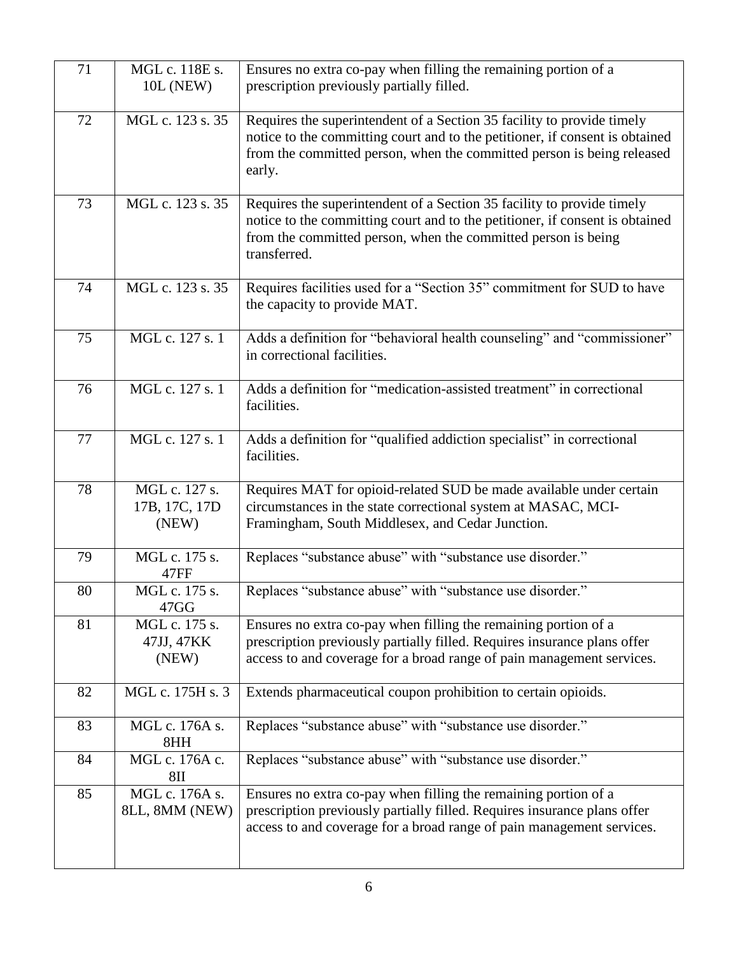| 71 | MGL c. 118E s.<br><b>10L (NEW)</b>      | Ensures no extra co-pay when filling the remaining portion of a<br>prescription previously partially filled.                                                                                                                               |
|----|-----------------------------------------|--------------------------------------------------------------------------------------------------------------------------------------------------------------------------------------------------------------------------------------------|
| 72 | MGL c. 123 s. 35                        | Requires the superintendent of a Section 35 facility to provide timely<br>notice to the committing court and to the petitioner, if consent is obtained<br>from the committed person, when the committed person is being released<br>early. |
| 73 | MGL c. 123 s. 35                        | Requires the superintendent of a Section 35 facility to provide timely<br>notice to the committing court and to the petitioner, if consent is obtained<br>from the committed person, when the committed person is being<br>transferred.    |
| 74 | MGL c. 123 s. 35                        | Requires facilities used for a "Section 35" commitment for SUD to have<br>the capacity to provide MAT.                                                                                                                                     |
| 75 | MGL c. 127 s. 1                         | Adds a definition for "behavioral health counseling" and "commissioner"<br>in correctional facilities.                                                                                                                                     |
| 76 | MGL c. 127 s. 1                         | Adds a definition for "medication-assisted treatment" in correctional<br>facilities.                                                                                                                                                       |
| 77 | MGL c. 127 s. 1                         | Adds a definition for "qualified addiction specialist" in correctional<br>facilities.                                                                                                                                                      |
| 78 | MGL c. 127 s.<br>17B, 17C, 17D<br>(NEW) | Requires MAT for opioid-related SUD be made available under certain<br>circumstances in the state correctional system at MASAC, MCI-<br>Framingham, South Middlesex, and Cedar Junction.                                                   |
| 79 | MGL c. 175 s.<br>47FF                   | Replaces "substance abuse" with "substance use disorder."                                                                                                                                                                                  |
| 80 | MGL c. 175 s.<br>47GG                   | Replaces "substance abuse" with "substance use disorder."                                                                                                                                                                                  |
| 81 | MGL c. 175 s.<br>47JJ, 47KK<br>(NEW)    | Ensures no extra co-pay when filling the remaining portion of a<br>prescription previously partially filled. Requires insurance plans offer<br>access to and coverage for a broad range of pain management services.                       |
| 82 | MGL c. 175H s. 3                        | Extends pharmaceutical coupon prohibition to certain opioids.                                                                                                                                                                              |
| 83 | MGL c. 176A s.<br>8HH                   | Replaces "substance abuse" with "substance use disorder."                                                                                                                                                                                  |
| 84 | MGL c. 176A c.<br>8 <sub>II</sub>       | Replaces "substance abuse" with "substance use disorder."                                                                                                                                                                                  |
| 85 | MGL c. 176A s.<br>8LL, 8MM (NEW)        | Ensures no extra co-pay when filling the remaining portion of a<br>prescription previously partially filled. Requires insurance plans offer<br>access to and coverage for a broad range of pain management services.                       |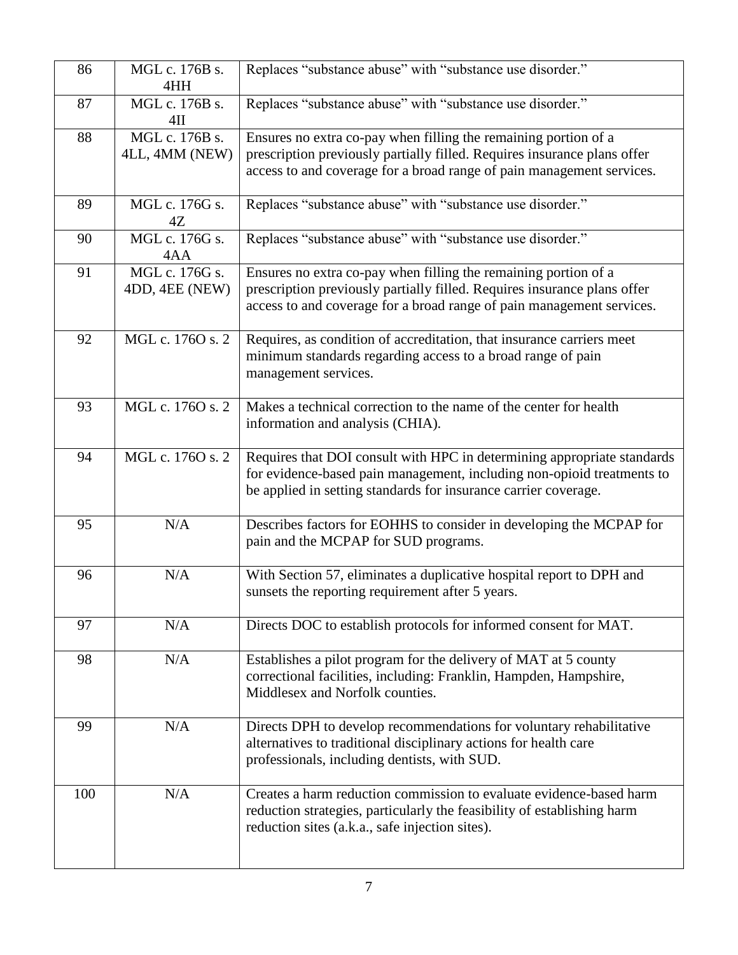| 86  | MGL c. 176B s.<br>4HH            | Replaces "substance abuse" with "substance use disorder."                                                                                                                                                            |
|-----|----------------------------------|----------------------------------------------------------------------------------------------------------------------------------------------------------------------------------------------------------------------|
| 87  | MGL c. 176B s.<br>$4$ II         | Replaces "substance abuse" with "substance use disorder."                                                                                                                                                            |
| 88  | MGL c. 176B s.<br>4LL, 4MM (NEW) | Ensures no extra co-pay when filling the remaining portion of a<br>prescription previously partially filled. Requires insurance plans offer<br>access to and coverage for a broad range of pain management services. |
| 89  | MGL c. 176G s.<br>4Z             | Replaces "substance abuse" with "substance use disorder."                                                                                                                                                            |
| 90  | MGL c. 176G s.<br>4AA            | Replaces "substance abuse" with "substance use disorder."                                                                                                                                                            |
| 91  | MGL c. 176G s.<br>4DD, 4EE (NEW) | Ensures no extra co-pay when filling the remaining portion of a<br>prescription previously partially filled. Requires insurance plans offer<br>access to and coverage for a broad range of pain management services. |
| 92  | MGL c. 1760 s. 2                 | Requires, as condition of accreditation, that insurance carriers meet<br>minimum standards regarding access to a broad range of pain<br>management services.                                                         |
| 93  | MGL c. 1760 s. 2                 | Makes a technical correction to the name of the center for health<br>information and analysis (CHIA).                                                                                                                |
| 94  | MGL c. 1760 s. 2                 | Requires that DOI consult with HPC in determining appropriate standards<br>for evidence-based pain management, including non-opioid treatments to<br>be applied in setting standards for insurance carrier coverage. |
| 95  | N/A                              | Describes factors for EOHHS to consider in developing the MCPAP for<br>pain and the MCPAP for SUD programs.                                                                                                          |
| 96  | N/A                              | With Section 57, eliminates a duplicative hospital report to DPH and<br>sunsets the reporting requirement after 5 years.                                                                                             |
| 97  | N/A                              | Directs DOC to establish protocols for informed consent for MAT.                                                                                                                                                     |
| 98  | N/A                              | Establishes a pilot program for the delivery of MAT at 5 county<br>correctional facilities, including: Franklin, Hampden, Hampshire,<br>Middlesex and Norfolk counties.                                              |
| 99  | N/A                              | Directs DPH to develop recommendations for voluntary rehabilitative<br>alternatives to traditional disciplinary actions for health care<br>professionals, including dentists, with SUD.                              |
| 100 | N/A                              | Creates a harm reduction commission to evaluate evidence-based harm<br>reduction strategies, particularly the feasibility of establishing harm<br>reduction sites (a.k.a., safe injection sites).                    |